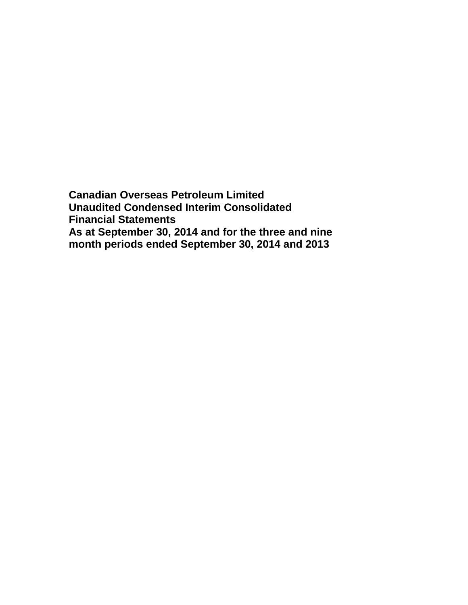**Canadian Overseas Petroleum Limited Unaudited Condensed Interim Consolidated Financial Statements As at September 30, 2014 and for the three and nine month periods ended September 30, 2014 and 2013**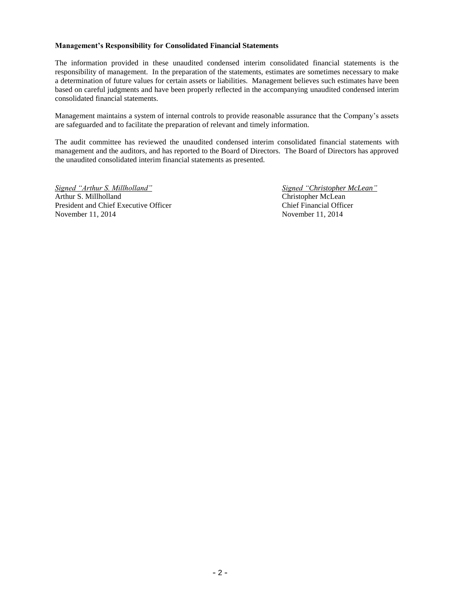### **Management's Responsibility for Consolidated Financial Statements**

The information provided in these unaudited condensed interim consolidated financial statements is the responsibility of management. In the preparation of the statements, estimates are sometimes necessary to make a determination of future values for certain assets or liabilities. Management believes such estimates have been based on careful judgments and have been properly reflected in the accompanying unaudited condensed interim consolidated financial statements.

Management maintains a system of internal controls to provide reasonable assurance that the Company's assets are safeguarded and to facilitate the preparation of relevant and timely information.

The audit committee has reviewed the unaudited condensed interim consolidated financial statements with management and the auditors, and has reported to the Board of Directors. The Board of Directors has approved the unaudited consolidated interim financial statements as presented.

*Signed "Arthur S. Millholland" Signed "Christopher McLean"* Arthur S. Millholland Christopher McLean President and Chief Executive Officer Chief Financial Officer November 11, 2014 November 11, 2014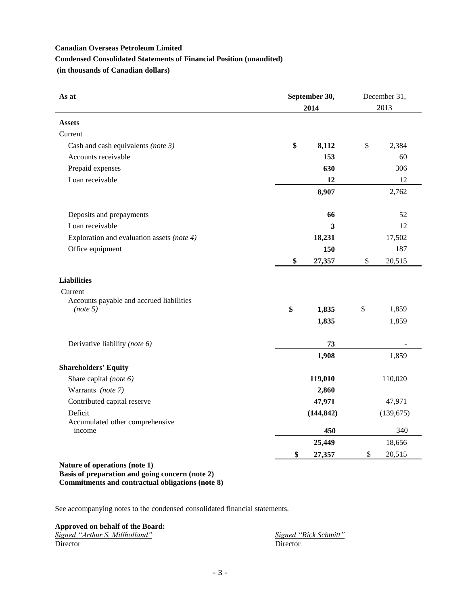# **Canadian Overseas Petroleum Limited Condensed Consolidated Statements of Financial Position (unaudited) (in thousands of Canadian dollars)**

| As at                                      | September 30, | December 31, |
|--------------------------------------------|---------------|--------------|
|                                            | 2014          | 2013         |
| <b>Assets</b>                              |               |              |
| Current                                    |               |              |
| Cash and cash equivalents (note $3$ )      | \$<br>8,112   | \$<br>2,384  |
| Accounts receivable                        | 153           | 60           |
| Prepaid expenses                           | 630           | 306          |
| Loan receivable                            | 12            | 12           |
|                                            | 8,907         | 2,762        |
| Deposits and prepayments                   | 66            | 52           |
| Loan receivable                            | 3             | 12           |
| Exploration and evaluation assets (note 4) | 18,231        | 17,502       |
| Office equipment                           | 150           | 187          |
|                                            | \$<br>27,357  | \$<br>20,515 |
| <b>Liabilities</b>                         |               |              |
| Current                                    |               |              |
| Accounts payable and accrued liabilities   |               |              |
| (note 5)                                   | \$<br>1,835   | \$<br>1,859  |
|                                            | 1,835         | 1,859        |
| Derivative liability (note 6)              | 73            |              |
|                                            | 1,908         | 1,859        |
| <b>Shareholders' Equity</b>                |               |              |
| Share capital (note 6)                     | 119,010       | 110,020      |
| Warrants (note 7)                          | 2,860         |              |
| Contributed capital reserve                | 47,971        | 47,971       |
| Deficit                                    | (144, 842)    | (139, 675)   |
| Accumulated other comprehensive            |               |              |
| income                                     | 450           | 340          |
|                                            | 25,449        | 18,656       |
|                                            | \$<br>27,357  | \$<br>20,515 |

### **Nature of operations (note 1) Basis of preparation and going concern (note 2) Commitments and contractual obligations (note 8)**

See accompanying notes to the condensed consolidated financial statements.

## **Approved on behalf of the Board:**

| Signed "Arthur S. Millholland" | Signed ' |
|--------------------------------|----------|
| Director                       | Director |

*Signed "Rick Schmitt"*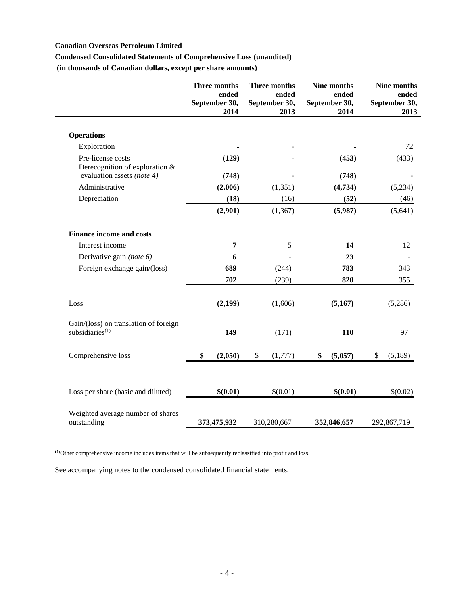## **Canadian Overseas Petroleum Limited**

## **Condensed Consolidated Statements of Comprehensive Loss (unaudited)**

**(in thousands of Canadian dollars, except per share amounts)**

|                                                             | Three months<br>September 30, | ended<br>2014 | Three months<br>ended<br>September 30,<br>2013 | Nine months<br>ended<br>September 30,<br>2014 | Nine months<br>ended<br>September 30,<br>2013 |
|-------------------------------------------------------------|-------------------------------|---------------|------------------------------------------------|-----------------------------------------------|-----------------------------------------------|
| <b>Operations</b>                                           |                               |               |                                                |                                               |                                               |
| Exploration                                                 |                               |               |                                                |                                               | 72                                            |
| Pre-license costs<br>Derecognition of exploration &         |                               | (129)         |                                                | (453)                                         | (433)                                         |
| evaluation assets (note 4)                                  |                               | (748)         |                                                | (748)                                         |                                               |
| Administrative                                              |                               | (2,006)       | (1, 351)                                       | (4,734)                                       | (5,234)                                       |
| Depreciation                                                |                               | (18)          | (16)                                           | (52)                                          | (46)                                          |
|                                                             |                               | (2,901)       | (1, 367)                                       | (5,987)                                       | (5,641)                                       |
| <b>Finance income and costs</b>                             |                               |               |                                                |                                               |                                               |
| Interest income                                             |                               | 7             | 5                                              | 14                                            | 12                                            |
| Derivative gain (note 6)                                    |                               | 6             |                                                | 23                                            |                                               |
| Foreign exchange gain/(loss)                                |                               | 689           | (244)                                          | 783                                           | 343                                           |
|                                                             |                               | 702           | (239)                                          | 820                                           | 355                                           |
| Loss                                                        |                               | (2,199)       | (1,606)                                        | (5,167)                                       | (5,286)                                       |
| Gain/(loss) on translation of foreign<br>subsidiaries $(1)$ |                               | 149           | (171)                                          | 110                                           | 97                                            |
| Comprehensive loss                                          | \$                            | (2,050)       | \$<br>(1,777)                                  | \$<br>(5,057)                                 | \$<br>(5,189)                                 |
| Loss per share (basic and diluted)                          |                               | \$(0.01)      | \$(0.01)                                       | \$(0.01)                                      | \$(0.02)                                      |
| Weighted average number of shares<br>outstanding            | 373,475,932                   |               | 310,280,667                                    | 352,846,657                                   | 292,867,719                                   |

**(1)**Other comprehensive income includes items that will be subsequently reclassified into profit and loss.

See accompanying notes to the condensed consolidated financial statements.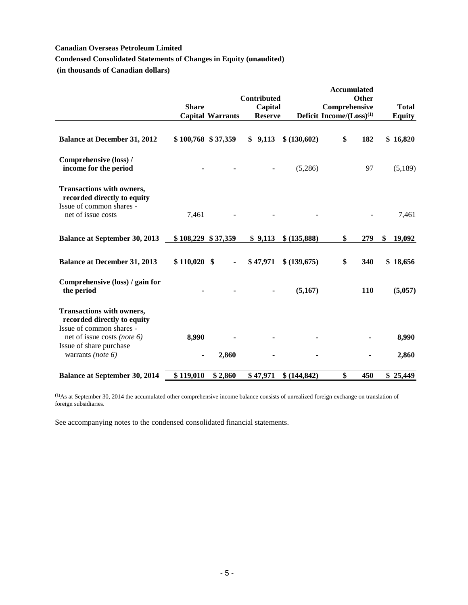## **Canadian Overseas Petroleum Limited**

## **Condensed Consolidated Statements of Changes in Equity (unaudited)**

**(in thousands of Canadian dollars)**

|                                                                                                                   | <b>Share</b>       | <b>Capital Warrants</b> | Contributed<br>Capital<br><b>Reserve</b> |              | <b>Accumulated</b><br>Comprehensive<br>Deficit Income/ $(Loss)^{(1)}$ | <b>Other</b> | <b>Total</b><br><b>Equity</b> |
|-------------------------------------------------------------------------------------------------------------------|--------------------|-------------------------|------------------------------------------|--------------|-----------------------------------------------------------------------|--------------|-------------------------------|
| <b>Balance at December 31, 2012</b>                                                                               | \$100,768 \$37,359 |                         | \$9,113                                  | \$ (130,602) | \$                                                                    | 182          | \$16,820                      |
| Comprehensive (loss) /<br>income for the period                                                                   |                    |                         |                                          | (5,286)      |                                                                       | 97           | (5,189)                       |
| <b>Transactions with owners,</b><br>recorded directly to equity<br>Issue of common shares -<br>net of issue costs | 7,461              |                         |                                          |              |                                                                       |              | 7,461                         |
| <b>Balance at September 30, 2013</b>                                                                              | \$108,229          | \$37,359                | \$9,113                                  | \$ (135,888) | \$                                                                    | 279          | \$<br>19,092                  |
| <b>Balance at December 31, 2013</b>                                                                               | $$110,020$ \$      |                         | \$47,971                                 | \$ (139,675) | \$                                                                    | 340          | \$18,656                      |
| Comprehensive (loss) / gain for<br>the period                                                                     |                    |                         |                                          | (5,167)      |                                                                       | 110          | (5,057)                       |
| <b>Transactions with owners,</b><br>recorded directly to equity<br>Issue of common shares -                       |                    |                         |                                          |              |                                                                       |              |                               |
| net of issue costs (note $6$ )<br>Issue of share purchase<br>warrants (note $6$ )                                 | 8,990<br>٠         | 2,860                   |                                          |              |                                                                       |              | 8,990<br>2,860                |
| <b>Balance at September 30, 2014</b>                                                                              | \$119,010          | \$2,860                 | \$47,971                                 | \$(144, 842) | \$                                                                    | 450          | \$25,449                      |

**(1)**As at September 30, 2014 the accumulated other comprehensive income balance consists of unrealized foreign exchange on translation of foreign subsidiaries.

See accompanying notes to the condensed consolidated financial statements.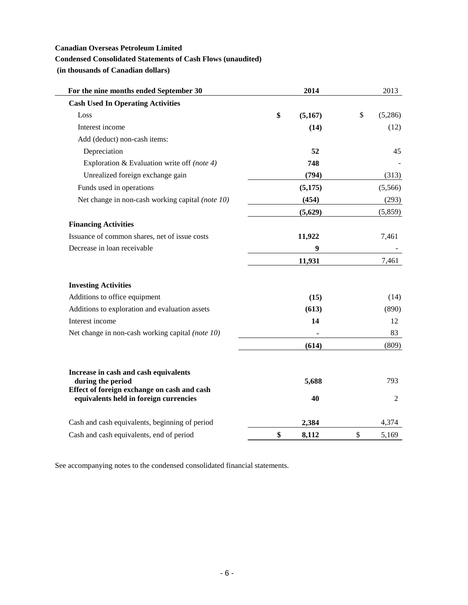## **Canadian Overseas Petroleum Limited**

## **Condensed Consolidated Statements of Cash Flows (unaudited)**

**(in thousands of Canadian dollars)**

| For the nine months ended September 30                                                | 2014          | 2013          |
|---------------------------------------------------------------------------------------|---------------|---------------|
| <b>Cash Used In Operating Activities</b>                                              |               |               |
| Loss                                                                                  | \$<br>(5,167) | \$<br>(5,286) |
| Interest income                                                                       | (14)          | (12)          |
| Add (deduct) non-cash items:                                                          |               |               |
| Depreciation                                                                          | 52            | 45            |
| Exploration & Evaluation write off (note 4)                                           | 748           |               |
| Unrealized foreign exchange gain                                                      | (794)         | (313)         |
| Funds used in operations                                                              | (5, 175)      | (5,566)       |
| Net change in non-cash working capital (note 10)                                      | (454)         | (293)         |
|                                                                                       | (5,629)       | (5,859)       |
| <b>Financing Activities</b>                                                           |               |               |
| Issuance of common shares, net of issue costs                                         | 11,922        | 7,461         |
| Decrease in loan receivable                                                           | 9             |               |
|                                                                                       | 11,931        | 7,461         |
| <b>Investing Activities</b>                                                           |               |               |
| Additions to office equipment                                                         | (15)          | (14)          |
| Additions to exploration and evaluation assets                                        | (613)         | (890)         |
| Interest income                                                                       | 14            | 12            |
| Net change in non-cash working capital (note 10)                                      |               | 83            |
|                                                                                       | (614)         | (809)         |
| Increase in cash and cash equivalents                                                 |               |               |
| during the period                                                                     | 5,688         | 793           |
| Effect of foreign exchange on cash and cash<br>equivalents held in foreign currencies | 40            | 2             |
| Cash and cash equivalents, beginning of period                                        | 2,384         | 4,374         |
| Cash and cash equivalents, end of period                                              | \$<br>8,112   | \$<br>5,169   |

See accompanying notes to the condensed consolidated financial statements.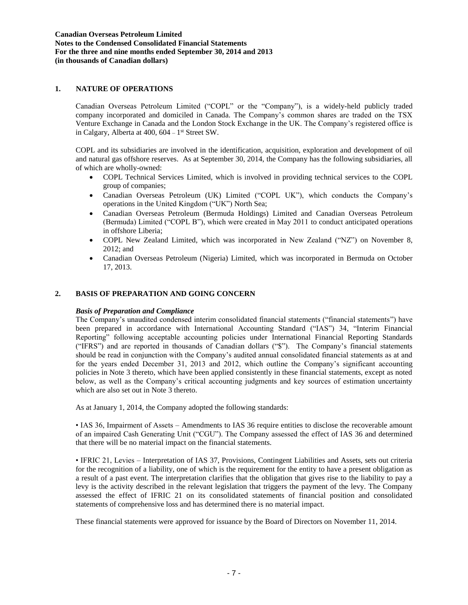### **1. NATURE OF OPERATIONS**

Canadian Overseas Petroleum Limited ("COPL" or the "Company"), is a widely-held publicly traded company incorporated and domiciled in Canada. The Company's common shares are traded on the TSX Venture Exchange in Canada and the London Stock Exchange in the UK. The Company's registered office is in Calgary, Alberta at  $400$ ,  $604 - 1$ <sup>st</sup> Street SW.

COPL and its subsidiaries are involved in the identification, acquisition, exploration and development of oil and natural gas offshore reserves. As at September 30, 2014, the Company has the following subsidiaries, all of which are wholly-owned:

- COPL Technical Services Limited, which is involved in providing technical services to the COPL group of companies;
- Canadian Overseas Petroleum (UK) Limited ("COPL UK"), which conducts the Company's operations in the United Kingdom ("UK") North Sea;
- Canadian Overseas Petroleum (Bermuda Holdings) Limited and Canadian Overseas Petroleum (Bermuda) Limited ("COPL B"), which were created in May 2011 to conduct anticipated operations in offshore Liberia;
- COPL New Zealand Limited, which was incorporated in New Zealand ("NZ") on November 8, 2012; and
- Canadian Overseas Petroleum (Nigeria) Limited, which was incorporated in Bermuda on October 17, 2013.

### **2. BASIS OF PREPARATION AND GOING CONCERN**

#### *Basis of Preparation and Compliance*

The Company's unaudited condensed interim consolidated financial statements ("financial statements") have been prepared in accordance with International Accounting Standard ("IAS") 34, "Interim Financial Reporting" following acceptable accounting policies under International Financial Reporting Standards ("IFRS") and are reported in thousands of Canadian dollars ("\$"). The Company's financial statements should be read in conjunction with the Company's audited annual consolidated financial statements as at and for the years ended December 31, 2013 and 2012, which outline the Company's significant accounting policies in Note 3 thereto, which have been applied consistently in these financial statements, except as noted below, as well as the Company's critical accounting judgments and key sources of estimation uncertainty which are also set out in Note 3 thereto.

As at January 1, 2014, the Company adopted the following standards:

• IAS 36, Impairment of Assets – Amendments to IAS 36 require entities to disclose the recoverable amount of an impaired Cash Generating Unit ("CGU"). The Company assessed the effect of IAS 36 and determined that there will be no material impact on the financial statements.

• IFRIC 21, Levies – Interpretation of IAS 37, Provisions, Contingent Liabilities and Assets, sets out criteria for the recognition of a liability, one of which is the requirement for the entity to have a present obligation as a result of a past event. The interpretation clarifies that the obligation that gives rise to the liability to pay a levy is the activity described in the relevant legislation that triggers the payment of the levy. The Company assessed the effect of IFRIC 21 on its consolidated statements of financial position and consolidated statements of comprehensive loss and has determined there is no material impact.

These financial statements were approved for issuance by the Board of Directors on November 11, 2014.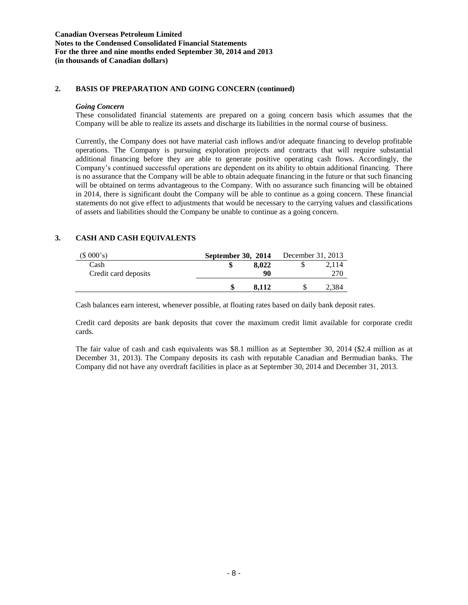### **2. BASIS OF PREPARATION AND GOING CONCERN (continued)**

#### *Going Concern*

These consolidated financial statements are prepared on a going concern basis which assumes that the Company will be able to realize its assets and discharge its liabilities in the normal course of business.

Currently, the Company does not have material cash inflows and/or adequate financing to develop profitable operations. The Company is pursuing exploration projects and contracts that will require substantial additional financing before they are able to generate positive operating cash flows. Accordingly, the Company's continued successful operations are dependent on its ability to obtain additional financing. There is no assurance that the Company will be able to obtain adequate financing in the future or that such financing will be obtained on terms advantageous to the Company. With no assurance such financing will be obtained in 2014, there is significant doubt the Company will be able to continue as a going concern. These financial statements do not give effect to adjustments that would be necessary to the carrying values and classifications of assets and liabilities should the Company be unable to continue as a going concern.

## **3. CASH AND CASH EQUIVALENTS**

| (\$000's)            | September 30, 2014 |       | December 31, 2013 |       |
|----------------------|--------------------|-------|-------------------|-------|
| Cash                 |                    | 8.022 |                   | 2.114 |
| Credit card deposits |                    | 90    |                   | 270   |
|                      |                    | 8.112 |                   | 2,384 |

Cash balances earn interest, whenever possible, at floating rates based on daily bank deposit rates.

Credit card deposits are bank deposits that cover the maximum credit limit available for corporate credit cards.

The fair value of cash and cash equivalents was \$8.1 million as at September 30, 2014 (\$2.4 million as at December 31, 2013). The Company deposits its cash with reputable Canadian and Bermudian banks. The Company did not have any overdraft facilities in place as at September 30, 2014 and December 31, 2013.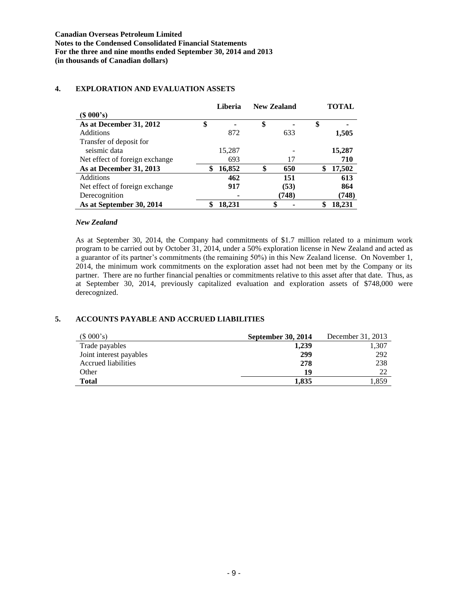### **Liberia New Zealand TOTAL (\$ 000's) As at December 31, 2012 \$ - \$ - \$ -** Additions **872** 633 **1,505** Transfer of deposit for seismic data **15,287** - **15,287** Net effect of foreign exchange 693 17 **710 As at December 31, 2013 \$ 16,852 \$ 650 \$ 17,502** Additions **462 151 613** Net effect of foreign exchange **917 (53) 864** Derecognition **- (748) (748) As at September 30, 2014 \$ 18,231 \$ - \$ 18,231**

## **4. EXPLORATION AND EVALUATION ASSETS**

#### *New Zealand*

As at September 30, 2014, the Company had commitments of \$1.7 million related to a minimum work program to be carried out by October 31, 2014, under a 50% exploration license in New Zealand and acted as a guarantor of its partner's commitments (the remaining 50%) in this New Zealand license. On November 1, 2014, the minimum work commitments on the exploration asset had not been met by the Company or its partner. There are no further financial penalties or commitments relative to this asset after that date. Thus, as at September 30, 2014, previously capitalized evaluation and exploration assets of \$748,000 were derecognized.

### **5. ACCOUNTS PAYABLE AND ACCRUED LIABILITIES**

| (\$000's)               | September 30, 2014 | December 31, 2013 |
|-------------------------|--------------------|-------------------|
| Trade payables          | 1,239              | 1,307             |
| Joint interest payables | 299                | 292               |
| Accrued liabilities     | 278                | 238               |
| Other                   | 19                 | 22                |
| <b>Total</b>            | 1.835              | 1.859             |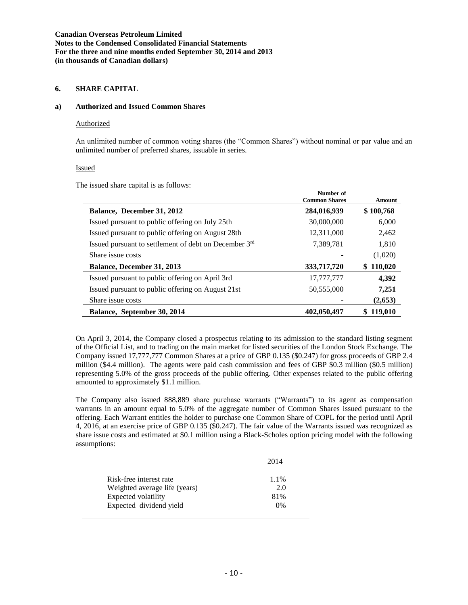### **6. SHARE CAPITAL**

#### **a) Authorized and Issued Common Shares**

#### Authorized

An unlimited number of common voting shares (the "Common Shares") without nominal or par value and an unlimited number of preferred shares, issuable in series.

### Issued

The issued share capital is as follows:

|                                                       | Number of<br><b>Common Shares</b> | <b>Amount</b> |
|-------------------------------------------------------|-----------------------------------|---------------|
| Balance, December 31, 2012                            | 284,016,939                       | \$100,768     |
| Issued pursuant to public offering on July 25th       | 30,000,000                        | 6,000         |
| Issued pursuant to public offering on August 28th     | 12,311,000                        | 2,462         |
| Issued pursuant to settlement of debt on December 3rd | 7,389,781                         | 1,810         |
| Share issue costs                                     |                                   | (1,020)       |
| Balance, December 31, 2013                            | 333,717,720                       | 110,020<br>S  |
| Issued pursuant to public offering on April 3rd       | 17,777,777                        | 4,392         |
| Issued pursuant to public offering on August 21st     | 50,555,000                        | 7,251         |
| Share issue costs                                     |                                   | (2,653)       |
| Balance, September 30, 2014                           | 402,050,497                       | 119,010<br>S  |

On April 3, 2014, the Company closed a prospectus relating to its admission to the standard listing segment of the Official List, and to trading on the main market for listed securities of the London Stock Exchange. The Company issued 17,777,777 Common Shares at a price of GBP 0.135 (\$0.247) for gross proceeds of GBP 2.4 million (\$4.4 million). The agents were paid cash commission and fees of GBP \$0.3 million (\$0.5 million) representing 5.0% of the gross proceeds of the public offering. Other expenses related to the public offering amounted to approximately \$1.1 million.

The Company also issued 888,889 share purchase warrants ("Warrants") to its agent as compensation warrants in an amount equal to 5.0% of the aggregate number of Common Shares issued pursuant to the offering. Each Warrant entitles the holder to purchase one Common Share of COPL for the period until April 4, 2016, at an exercise price of GBP 0.135 (\$0.247). The fair value of the Warrants issued was recognized as share issue costs and estimated at \$0.1 million using a Black-Scholes option pricing model with the following assumptions:

|                               | 2014 |
|-------------------------------|------|
| Risk-free interest rate       | 1.1% |
| Weighted average life (years) | 2.0  |
| Expected volatility           | 81%  |
| Expected dividend yield       | 0%   |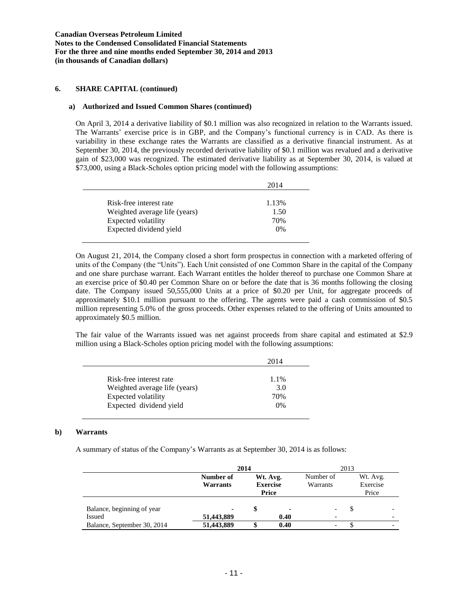### **6. SHARE CAPITAL (continued)**

#### **a) Authorized and Issued Common Shares (continued)**

On April 3, 2014 a derivative liability of \$0.1 million was also recognized in relation to the Warrants issued. The Warrants' exercise price is in GBP, and the Company's functional currency is in CAD. As there is variability in these exchange rates the Warrants are classified as a derivative financial instrument. As at September 30, 2014, the previously recorded derivative liability of \$0.1 million was revalued and a derivative gain of \$23,000 was recognized. The estimated derivative liability as at September 30, 2014, is valued at \$73,000, using a Black-Scholes option pricing model with the following assumptions:

|                               | 2014  |
|-------------------------------|-------|
|                               |       |
| Risk-free interest rate       | 1.13% |
| Weighted average life (years) | 1.50  |
| Expected volatility           | 70%   |
| Expected dividend yield       | $0\%$ |

On August 21, 2014, the Company closed a short form prospectus in connection with a marketed offering of units of the Company (the "Units"). Each Unit consisted of one Common Share in the capital of the Company and one share purchase warrant. Each Warrant entitles the holder thereof to purchase one Common Share at an exercise price of \$0.40 per Common Share on or before the date that is 36 months following the closing date. The Company issued 50,555,000 Units at a price of \$0.20 per Unit, for aggregate proceeds of approximately \$10.1 million pursuant to the offering. The agents were paid a cash commission of \$0.5 million representing 5.0% of the gross proceeds. Other expenses related to the offering of Units amounted to approximately \$0.5 million.

The fair value of the Warrants issued was net against proceeds from share capital and estimated at \$2.9 million using a Black-Scholes option pricing model with the following assumptions:

|                               | 2014  |
|-------------------------------|-------|
| Risk-free interest rate       | 1.1%  |
| Weighted average life (years) | 3.0   |
| Expected volatility           | 70%   |
| Expected dividend yield       | $0\%$ |

#### **b) Warrants**

A summary of status of the Company's Warrants as at September 30, 2014 is as follows:

|                             | 2014                  |  |                                      |                          | 2013 |                               |  |
|-----------------------------|-----------------------|--|--------------------------------------|--------------------------|------|-------------------------------|--|
|                             | Number of<br>Warrants |  | Wt. Avg.<br><b>Exercise</b><br>Price | Number of<br>Warrants    |      | Wt. Avg.<br>Exercise<br>Price |  |
| Balance, beginning of year  | $\blacksquare$        |  | $\blacksquare$                       |                          |      |                               |  |
| Issued                      | 51,443,889            |  | 0.40                                 |                          |      | -                             |  |
| Balance, September 30, 2014 | 51,443,889            |  | 0.40                                 | $\overline{\phantom{a}}$ |      | -                             |  |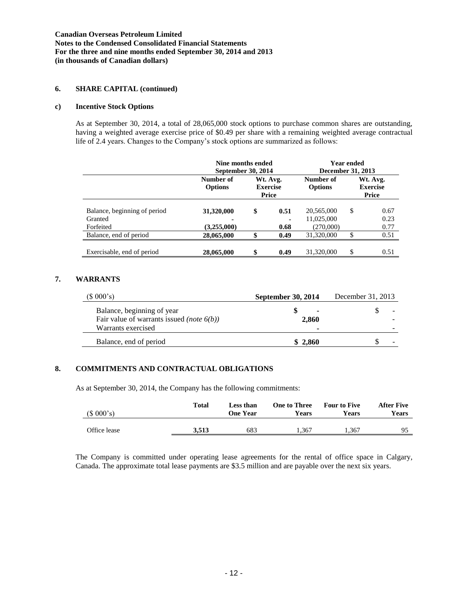### **6. SHARE CAPITAL (continued)**

#### **c) Incentive Stock Options**

As at September 30, 2014, a total of 28,065,000 stock options to purchase common shares are outstanding, having a weighted average exercise price of \$0.49 per share with a remaining weighted average contractual life of 2.4 years. Changes to the Company's stock options are summarized as follows:

|                                         | Nine months ended<br>September 30, 2014 |                                      |              | <b>Year ended</b><br>December 31, 2013 |                                      |              |
|-----------------------------------------|-----------------------------------------|--------------------------------------|--------------|----------------------------------------|--------------------------------------|--------------|
|                                         | Number of<br><b>Options</b>             | Wt. Avg.<br><b>Exercise</b><br>Price |              | Number of<br><b>Options</b>            | Wt. Avg.<br><b>Exercise</b><br>Price |              |
| Balance, beginning of period<br>Granted | 31,320,000<br>۰                         | \$                                   | 0.51         | 20,565,000<br>11,025,000               | \$                                   | 0.67<br>0.23 |
| Forfeited<br>Balance, end of period     | (3,255,000)<br>28,065,000               | ¢                                    | 0.68<br>0.49 | (270,000)<br>31,320,000                | \$                                   | 0.77<br>0.51 |
| Exercisable, end of period              | 28,065,000                              | \$                                   | 0.49         | 31,320,000                             | \$                                   | 0.51         |

### **7. WARRANTS**

| $(S\ 000's)$                                                                   | September 30, 2014 | December 31, 2013 |  |
|--------------------------------------------------------------------------------|--------------------|-------------------|--|
| Balance, beginning of year<br>Fair value of warrants issued <i>(note 6(b))</i> | 2.860              |                   |  |
| Warrants exercised                                                             |                    |                   |  |
| Balance, end of period                                                         | \$2.860            | -                 |  |

#### **8. COMMITMENTS AND CONTRACTUAL OBLIGATIONS**

As at September 30, 2014, the Company has the following commitments:

| (\$000's)    | Total | Less than<br><b>One Year</b> | One to Three<br>Years | <b>Four to Five</b><br>Years | <b>After Five</b><br>Years |
|--------------|-------|------------------------------|-----------------------|------------------------------|----------------------------|
| Office lease | 3.513 | 683                          | 1.367                 | .367                         | 95                         |

The Company is committed under operating lease agreements for the rental of office space in Calgary, Canada. The approximate total lease payments are \$3.5 million and are payable over the next six years.